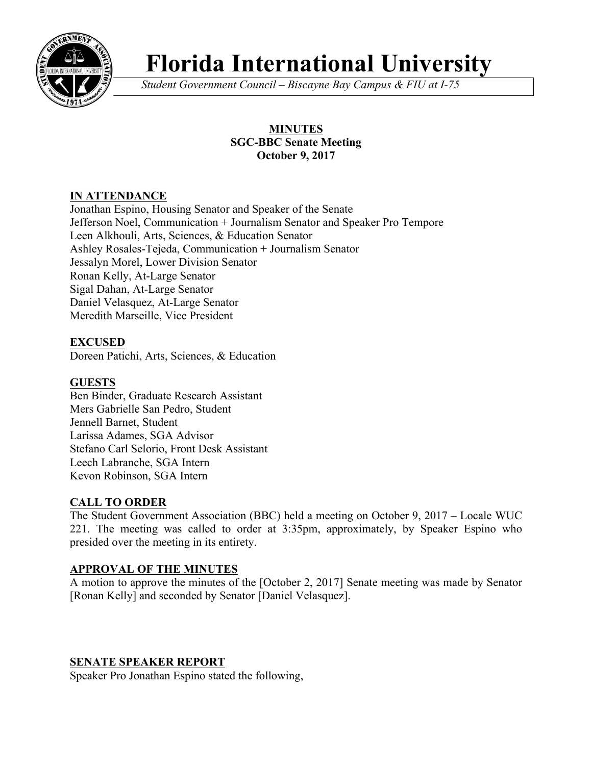

# **Florida International University**

*Student Government Council – Biscayne Bay Campus & FIU at I-75*

## **MINUTES SGC-BBC Senate Meeting October 9, 2017**

# **IN ATTENDANCE**

Jonathan Espino, Housing Senator and Speaker of the Senate Jefferson Noel, Communication + Journalism Senator and Speaker Pro Tempore Leen Alkhouli, Arts, Sciences, & Education Senator Ashley Rosales-Tejeda, Communication + Journalism Senator Jessalyn Morel, Lower Division Senator Ronan Kelly, At-Large Senator Sigal Dahan, At-Large Senator Daniel Velasquez, At-Large Senator Meredith Marseille, Vice President

## **EXCUSED**

Doreen Patichi, Arts, Sciences, & Education

## **GUESTS**

Ben Binder, Graduate Research Assistant Mers Gabrielle San Pedro, Student Jennell Barnet, Student Larissa Adames, SGA Advisor Stefano Carl Selorio, Front Desk Assistant Leech Labranche, SGA Intern Kevon Robinson, SGA Intern

## **CALL TO ORDER**

The Student Government Association (BBC) held a meeting on October 9, 2017 – Locale WUC 221. The meeting was called to order at 3:35pm, approximately, by Speaker Espino who presided over the meeting in its entirety.

## **APPROVAL OF THE MINUTES**

A motion to approve the minutes of the [October 2, 2017] Senate meeting was made by Senator [Ronan Kelly] and seconded by Senator [Daniel Velasquez].

## **SENATE SPEAKER REPORT**

Speaker Pro Jonathan Espino stated the following,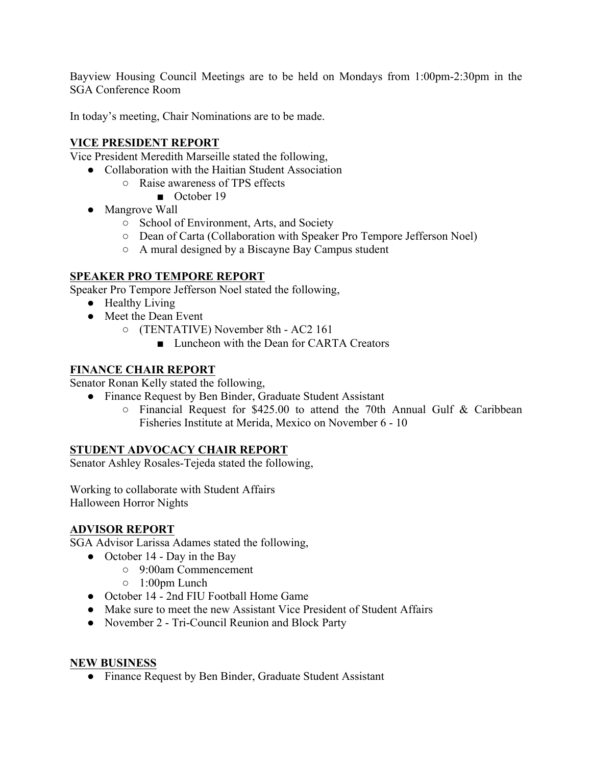Bayview Housing Council Meetings are to be held on Mondays from 1:00pm-2:30pm in the SGA Conference Room

In today's meeting, Chair Nominations are to be made.

## **VICE PRESIDENT REPORT**

Vice President Meredith Marseille stated the following,

- Collaboration with the Haitian Student Association
	- Raise awareness of TPS effects
		- October 19
	- Mangrove Wall
		- School of Environment, Arts, and Society
		- Dean of Carta (Collaboration with Speaker Pro Tempore Jefferson Noel)
		- A mural designed by a Biscayne Bay Campus student

## **SPEAKER PRO TEMPORE REPORT**

Speaker Pro Tempore Jefferson Noel stated the following,

- Healthy Living
- Meet the Dean Event
	- (TENTATIVE) November 8th AC2 161
		- Luncheon with the Dean for CARTA Creators

#### **FINANCE CHAIR REPORT**

Senator Ronan Kelly stated the following,

- Finance Request by Ben Binder, Graduate Student Assistant
	- Financial Request for \$425.00 to attend the 70th Annual Gulf & Caribbean Fisheries Institute at Merida, Mexico on November 6 - 10

## **STUDENT ADVOCACY CHAIR REPORT**

Senator Ashley Rosales-Tejeda stated the following,

Working to collaborate with Student Affairs Halloween Horror Nights

## **ADVISOR REPORT**

SGA Advisor Larissa Adames stated the following,

- October 14 Day in the Bay
	- 9:00am Commencement
		- 1:00pm Lunch
- October 14 2nd FIU Football Home Game
- Make sure to meet the new Assistant Vice President of Student Affairs
- November 2 Tri-Council Reunion and Block Party

#### **NEW BUSINESS**

● Finance Request by Ben Binder, Graduate Student Assistant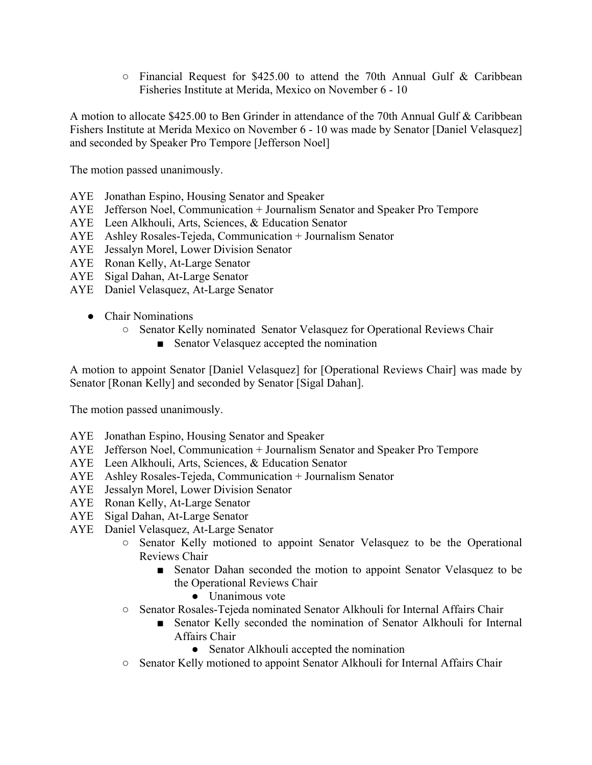$\circ$  Financial Request for \$425.00 to attend the 70th Annual Gulf & Caribbean Fisheries Institute at Merida, Mexico on November 6 - 10

A motion to allocate \$425.00 to Ben Grinder in attendance of the 70th Annual Gulf & Caribbean Fishers Institute at Merida Mexico on November 6 - 10 was made by Senator [Daniel Velasquez] and seconded by Speaker Pro Tempore [Jefferson Noel]

The motion passed unanimously.

- AYE Jonathan Espino, Housing Senator and Speaker
- AYE Jefferson Noel, Communication + Journalism Senator and Speaker Pro Tempore
- AYE Leen Alkhouli, Arts, Sciences, & Education Senator
- AYE Ashley Rosales-Tejeda, Communication + Journalism Senator
- AYE Jessalyn Morel, Lower Division Senator
- AYE Ronan Kelly, At-Large Senator
- AYE Sigal Dahan, At-Large Senator
- AYE Daniel Velasquez, At-Large Senator
	- Chair Nominations
		- Senator Kelly nominated Senator Velasquez for Operational Reviews Chair
			- Senator Velasquez accepted the nomination

A motion to appoint Senator [Daniel Velasquez] for [Operational Reviews Chair] was made by Senator [Ronan Kelly] and seconded by Senator [Sigal Dahan].

The motion passed unanimously.

- AYE Jonathan Espino, Housing Senator and Speaker
- AYE Jefferson Noel, Communication + Journalism Senator and Speaker Pro Tempore
- AYE Leen Alkhouli, Arts, Sciences, & Education Senator
- AYE Ashley Rosales-Tejeda, Communication + Journalism Senator
- AYE Jessalyn Morel, Lower Division Senator
- AYE Ronan Kelly, At-Large Senator
- AYE Sigal Dahan, At-Large Senator
- AYE Daniel Velasquez, At-Large Senator
	- Senator Kelly motioned to appoint Senator Velasquez to be the Operational Reviews Chair
		- Senator Dahan seconded the motion to appoint Senator Velasquez to be the Operational Reviews Chair
			- Unanimous vote
	- Senator Rosales-Tejeda nominated Senator Alkhouli for Internal Affairs Chair
		- Senator Kelly seconded the nomination of Senator Alkhouli for Internal Affairs Chair
			- Senator Alkhouli accepted the nomination
	- Senator Kelly motioned to appoint Senator Alkhouli for Internal Affairs Chair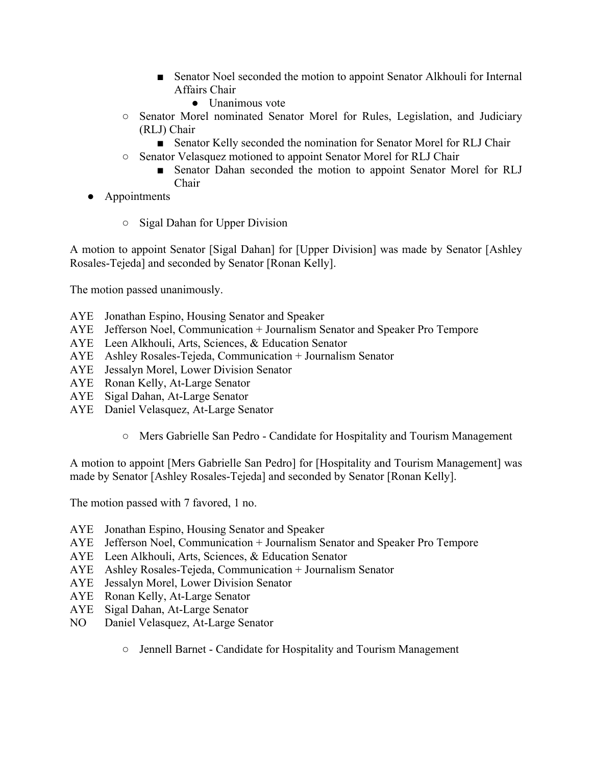- Senator Noel seconded the motion to appoint Senator Alkhouli for Internal Affairs Chair
	- Unanimous vote
- Senator Morel nominated Senator Morel for Rules, Legislation, and Judiciary (RLJ) Chair
	- Senator Kelly seconded the nomination for Senator Morel for RLJ Chair
- Senator Velasquez motioned to appoint Senator Morel for RLJ Chair
	- Senator Dahan seconded the motion to appoint Senator Morel for RLJ Chair
- Appointments
	- Sigal Dahan for Upper Division

A motion to appoint Senator [Sigal Dahan] for [Upper Division] was made by Senator [Ashley Rosales-Tejeda] and seconded by Senator [Ronan Kelly].

The motion passed unanimously.

- AYE Jonathan Espino, Housing Senator and Speaker
- AYE Jefferson Noel, Communication + Journalism Senator and Speaker Pro Tempore
- AYE Leen Alkhouli, Arts, Sciences, & Education Senator
- AYE Ashley Rosales-Tejeda, Communication + Journalism Senator
- AYE Jessalyn Morel, Lower Division Senator
- AYE Ronan Kelly, At-Large Senator
- AYE Sigal Dahan, At-Large Senator
- AYE Daniel Velasquez, At-Large Senator
	- Mers Gabrielle San Pedro Candidate for Hospitality and Tourism Management

A motion to appoint [Mers Gabrielle San Pedro] for [Hospitality and Tourism Management] was made by Senator [Ashley Rosales-Tejeda] and seconded by Senator [Ronan Kelly].

The motion passed with 7 favored, 1 no.

- AYE Jonathan Espino, Housing Senator and Speaker
- AYE Jefferson Noel, Communication + Journalism Senator and Speaker Pro Tempore
- AYE Leen Alkhouli, Arts, Sciences, & Education Senator
- AYE Ashley Rosales-Tejeda, Communication + Journalism Senator
- AYE Jessalyn Morel, Lower Division Senator
- AYE Ronan Kelly, At-Large Senator
- AYE Sigal Dahan, At-Large Senator
- NO Daniel Velasquez, At-Large Senator
	- Jennell Barnet Candidate for Hospitality and Tourism Management